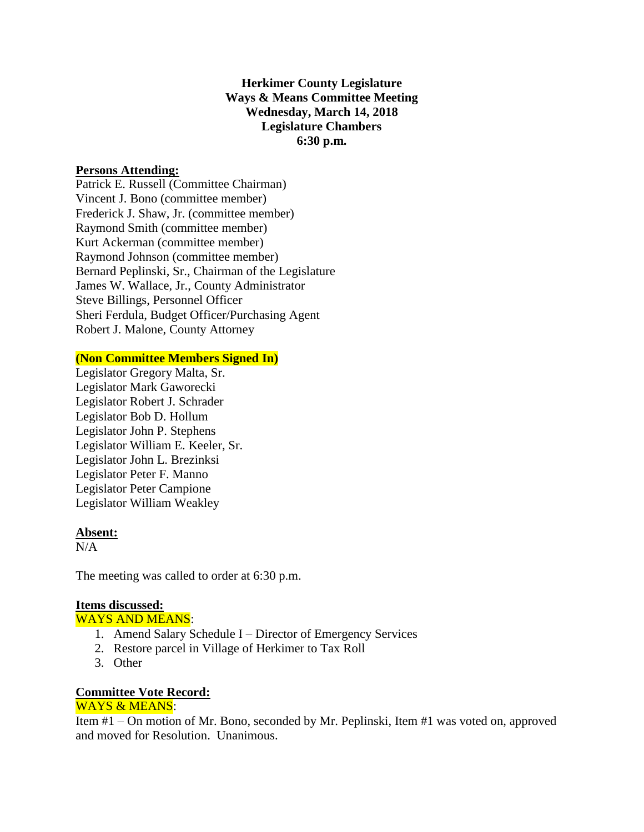# **Herkimer County Legislature Ways & Means Committee Meeting Wednesday, March 14, 2018 Legislature Chambers 6:30 p.m.**

### **Persons Attending:**

Patrick E. Russell (Committee Chairman) Vincent J. Bono (committee member) Frederick J. Shaw, Jr. (committee member) Raymond Smith (committee member) Kurt Ackerman (committee member) Raymond Johnson (committee member) Bernard Peplinski, Sr., Chairman of the Legislature James W. Wallace, Jr., County Administrator Steve Billings, Personnel Officer Sheri Ferdula, Budget Officer/Purchasing Agent Robert J. Malone, County Attorney

# **(Non Committee Members Signed In)**

Legislator Gregory Malta, Sr. Legislator Mark Gaworecki Legislator Robert J. Schrader Legislator Bob D. Hollum Legislator John P. Stephens Legislator William E. Keeler, Sr. Legislator John L. Brezinksi Legislator Peter F. Manno Legislator Peter Campione Legislator William Weakley

### **Absent:**

 $N/A$ 

The meeting was called to order at 6:30 p.m.

# **Items discussed:**

WAYS AND MEANS:

- 1. Amend Salary Schedule I Director of Emergency Services
- 2. Restore parcel in Village of Herkimer to Tax Roll
- 3. Other

#### **Committee Vote Record:**  WAYS & MEANS:

Item #1 – On motion of Mr. Bono, seconded by Mr. Peplinski, Item #1 was voted on, approved and moved for Resolution. Unanimous.